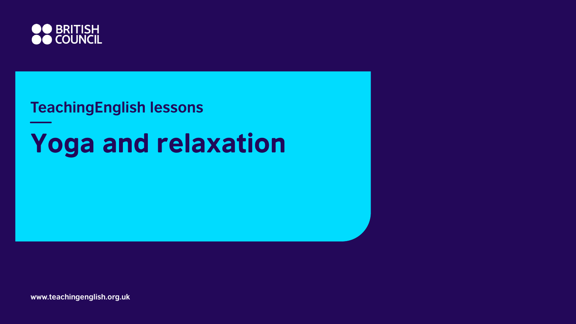

#### **TeachingEnglish lessons**

## **Yoga and relaxation**

**www.teachingenglish.org.uk**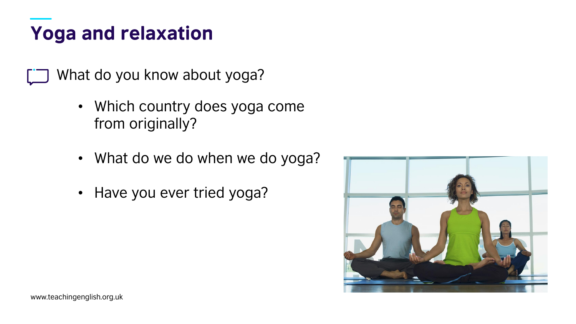What do you know about yoga?

- Which country does yoga come from originally?
- What do we do when we do yoga?
- Have you ever tried yoga?

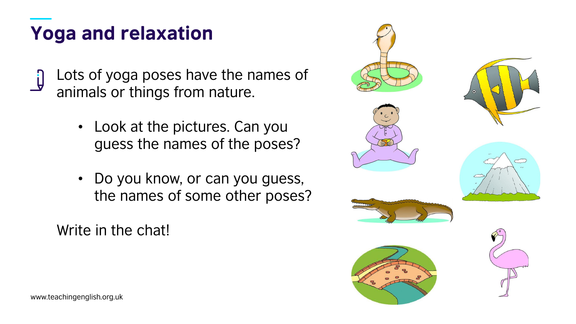Lots of yoga poses have the names of animals or things from nature.

- Look at the pictures. Can you guess the names of the poses?
- Do you know, or can you guess, the names of some other poses?

Write in the chat!

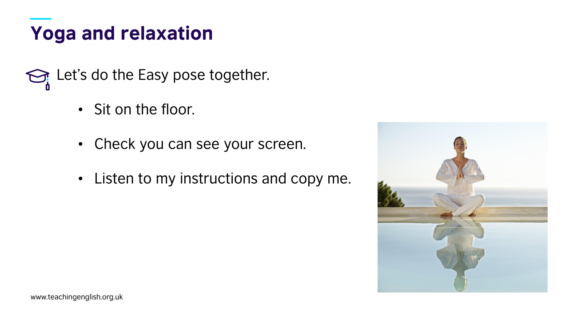Let's do the Easy pose together.

- Sit on the floor.
- Check you can see your screen.
- Listen to my instructions and copy me.

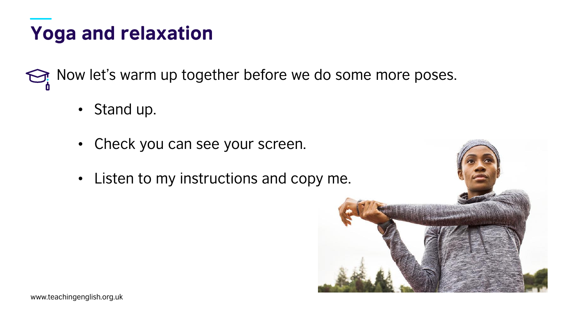Now let's warm up together before we do some more poses.

- Stand up.
- Check you can see your screen.
- Listen to my instructions and copy me.

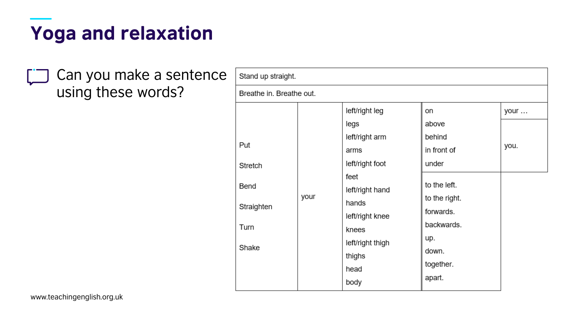Can you make a sentence using these words?

| Stand up straight.                                    |      |                                                                                                                                                                           |                                                                                                                                        |              |  |  |  |
|-------------------------------------------------------|------|---------------------------------------------------------------------------------------------------------------------------------------------------------------------------|----------------------------------------------------------------------------------------------------------------------------------------|--------------|--|--|--|
| Breathe in. Breathe out.                              |      |                                                                                                                                                                           |                                                                                                                                        |              |  |  |  |
| Put<br>Stretch<br>Bend<br>Straighten<br>Turn<br>Shake | your | left/right leg<br>legs<br>left/right arm<br>arms<br>left/right foot<br>feet<br>left/right hand<br>hands<br>left/right knee<br>knees<br>left/right thigh<br>thighs<br>head | on<br>above<br>behind<br>in front of<br>under<br>to the left.<br>to the right.<br>forwards.<br>backwards.<br>up.<br>down.<br>together. | your<br>you. |  |  |  |
|                                                       |      | body                                                                                                                                                                      | apart.                                                                                                                                 |              |  |  |  |

www.teachingenglish.org.uk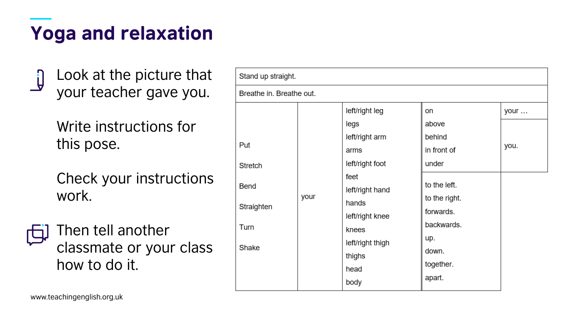Look at the picture that your teacher gave you.

Write instructions for this pose.

Check your instructions work.

Then tell another classmate or your class how to do it.

| Stand up straight.                                    |      |                                                                                                                                                                   |                                                                                                                           |              |  |  |  |  |
|-------------------------------------------------------|------|-------------------------------------------------------------------------------------------------------------------------------------------------------------------|---------------------------------------------------------------------------------------------------------------------------|--------------|--|--|--|--|
| Breathe in. Breathe out.                              |      |                                                                                                                                                                   |                                                                                                                           |              |  |  |  |  |
| Put<br>Stretch<br>Bend<br>Straighten<br>Turn<br>Shake | your | left/right leg<br>legs<br>left/right arm<br>arms<br>left/right foot<br>feet<br>left/right hand<br>hands<br>left/right knee<br>knees<br>left/right thigh<br>thighs | on<br>above<br>behind<br>in front of<br>under<br>to the left.<br>to the right.<br>forwards.<br>backwards.<br>up.<br>down. | your<br>you. |  |  |  |  |
|                                                       |      | head<br>body                                                                                                                                                      | together.<br>apart.                                                                                                       |              |  |  |  |  |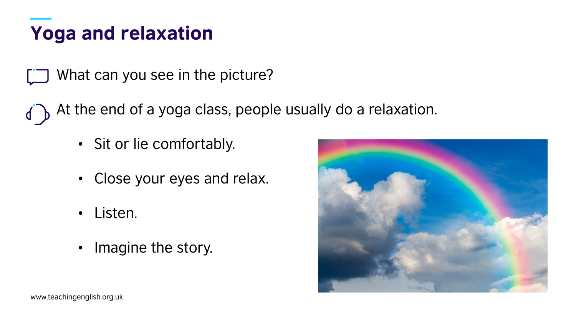What can you see in the picture?

At the end of a yoga class, people usually do a relaxation.

- Sit or lie comfortably.
- Close your eyes and relax.
- Listen.
- Imagine the story.

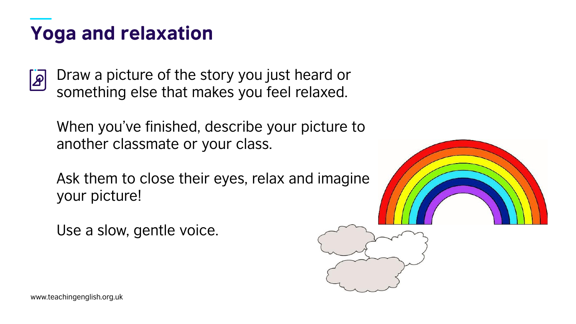Draw a picture of the story you just heard or  $|\mathcal{L}|$ something else that makes you feel relaxed.

When you've finished, describe your picture to another classmate or your class.

Ask them to close their eyes, relax and imagine your picture!

Use a slow, gentle voice.